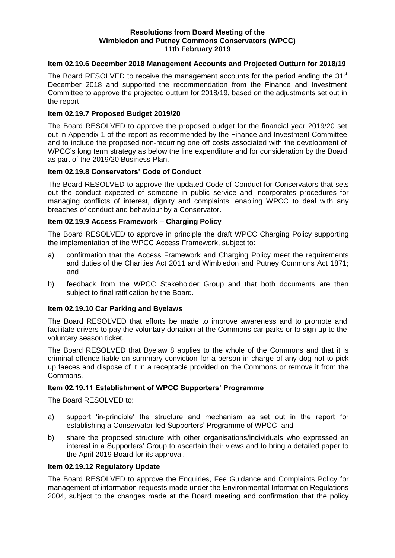#### **Resolutions from Board Meeting of the Wimbledon and Putney Commons Conservators (WPCC) 11th February 2019**

# **Item 02.19.6 December 2018 Management Accounts and Projected Outturn for 2018/19**

The Board RESOLVED to receive the management accounts for the period ending the 31<sup>st</sup> December 2018 and supported the recommendation from the Finance and Investment Committee to approve the projected outturn for 2018/19, based on the adjustments set out in the report.

### **Item 02.19.7 Proposed Budget 2019/20**

The Board RESOLVED to approve the proposed budget for the financial year 2019/20 set out in Appendix 1 of the report as recommended by the Finance and Investment Committee and to include the proposed non-recurring one off costs associated with the development of WPCC's long term strategy as below the line expenditure and for consideration by the Board as part of the 2019/20 Business Plan.

# **Item 02.19.8 Conservators' Code of Conduct**

The Board RESOLVED to approve the updated Code of Conduct for Conservators that sets out the conduct expected of someone in public service and incorporates procedures for managing conflicts of interest, dignity and complaints, enabling WPCC to deal with any breaches of conduct and behaviour by a Conservator.

# **Item 02.19.9 Access Framework – Charging Policy**

The Board RESOLVED to approve in principle the draft WPCC Charging Policy supporting the implementation of the WPCC Access Framework, subject to:

- a) confirmation that the Access Framework and Charging Policy meet the requirements and duties of the Charities Act 2011 and Wimbledon and Putney Commons Act 1871; and
- b) feedback from the WPCC Stakeholder Group and that both documents are then subject to final ratification by the Board.

#### **Item 02.19.10 Car Parking and Byelaws**

The Board RESOLVED that efforts be made to improve awareness and to promote and facilitate drivers to pay the voluntary donation at the Commons car parks or to sign up to the voluntary season ticket.

The Board RESOLVED that Byelaw 8 applies to the whole of the Commons and that it is criminal offence liable on summary conviction for a person in charge of any dog not to pick up faeces and dispose of it in a receptacle provided on the Commons or remove it from the Commons.

#### **Item 02.19.11 Establishment of WPCC Supporters' Programme**

The Board RESOLVED to:

- a) support 'in-principle' the structure and mechanism as set out in the report for establishing a Conservator-led Supporters' Programme of WPCC; and
- b) share the proposed structure with other organisations/individuals who expressed an interest in a Supporters' Group to ascertain their views and to bring a detailed paper to the April 2019 Board for its approval.

### **Item 02.19.12 Regulatory Update**

The Board RESOLVED to approve the Enquiries, Fee Guidance and Complaints Policy for management of information requests made under the Environmental Information Regulations 2004, subject to the changes made at the Board meeting and confirmation that the policy